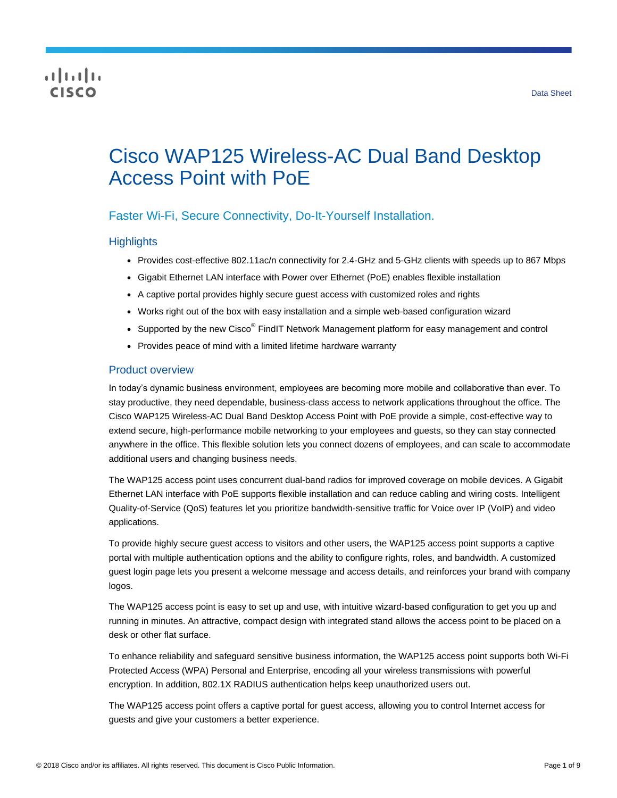## CISCO

# Cisco WAP125 Wireless-AC Dual Band Desktop Access Point with PoE

## Faster Wi-Fi, Secure Connectivity, Do-It-Yourself Installation.

## **Highlights**

- Provides cost-effective 802.11ac/n connectivity for 2.4-GHz and 5-GHz clients with speeds up to 867 Mbps
- Gigabit Ethernet LAN interface with Power over Ethernet (PoE) enables flexible installation
- A captive portal provides highly secure guest access with customized roles and rights
- Works right out of the box with easy installation and a simple web-based configuration wizard
- Supported by the new Cisco $^{\circledR}$  FindIT Network Management platform for easy management and control
- Provides peace of mind with a limited lifetime hardware warranty

## Product overview

In today's dynamic business environment, employees are becoming more mobile and collaborative than ever. To stay productive, they need dependable, business-class access to network applications throughout the office. The Cisco WAP125 Wireless-AC Dual Band Desktop Access Point with PoE provide a simple, cost-effective way to extend secure, high-performance mobile networking to your employees and guests, so they can stay connected anywhere in the office. This flexible solution lets you connect dozens of employees, and can scale to accommodate additional users and changing business needs.

The WAP125 access point uses concurrent dual-band radios for improved coverage on mobile devices. A Gigabit Ethernet LAN interface with PoE supports flexible installation and can reduce cabling and wiring costs. Intelligent Quality-of-Service (QoS) features let you prioritize bandwidth-sensitive traffic for Voice over IP (VoIP) and video applications.

To provide highly secure guest access to visitors and other users, the WAP125 access point supports a captive portal with multiple authentication options and the ability to configure rights, roles, and bandwidth. A customized guest login page lets you present a welcome message and access details, and reinforces your brand with company logos.

The WAP125 access point is easy to set up and use, with intuitive wizard-based configuration to get you up and running in minutes. An attractive, compact design with integrated stand allows the access point to be placed on a desk or other flat surface.

To enhance reliability and safeguard sensitive business information, the WAP125 access point supports both Wi-Fi Protected Access (WPA) Personal and Enterprise, encoding all your wireless transmissions with powerful encryption. In addition, 802.1X RADIUS authentication helps keep unauthorized users out.

The WAP125 access point offers a captive portal for guest access, allowing you to control Internet access for guests and give your customers a better experience.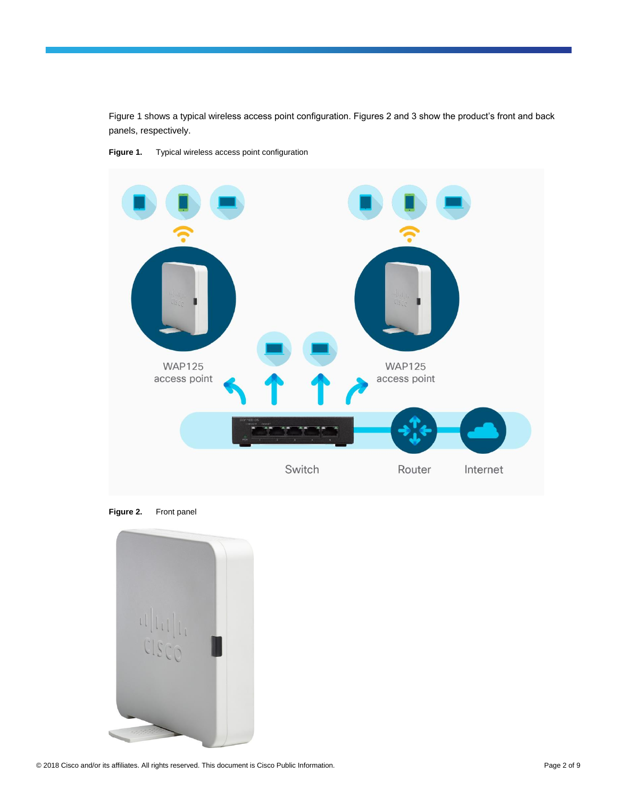Figure 1 shows a typical wireless access point configuration. Figures 2 and 3 show the product's front and back panels, respectively.



Figure 1. Typical wireless access point configuration

**Figure 2.** Front panel

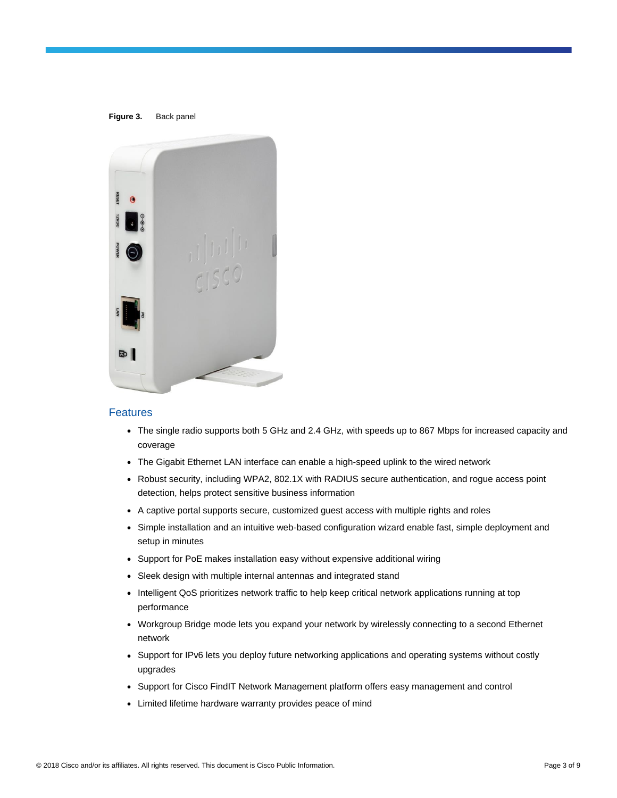

## Features

- The single radio supports both 5 GHz and 2.4 GHz, with speeds up to 867 Mbps for increased capacity and coverage
- The Gigabit Ethernet LAN interface can enable a high-speed uplink to the wired network
- Robust security, including WPA2, 802.1X with RADIUS secure authentication, and rogue access point detection, helps protect sensitive business information
- A captive portal supports secure, customized guest access with multiple rights and roles
- Simple installation and an intuitive web-based configuration wizard enable fast, simple deployment and setup in minutes
- Support for PoE makes installation easy without expensive additional wiring
- Sleek design with multiple internal antennas and integrated stand
- Intelligent QoS prioritizes network traffic to help keep critical network applications running at top performance
- Workgroup Bridge mode lets you expand your network by wirelessly connecting to a second Ethernet network
- Support for IPv6 lets you deploy future networking applications and operating systems without costly upgrades
- Support for Cisco FindIT Network Management platform offers easy management and control
- Limited lifetime hardware warranty provides peace of mind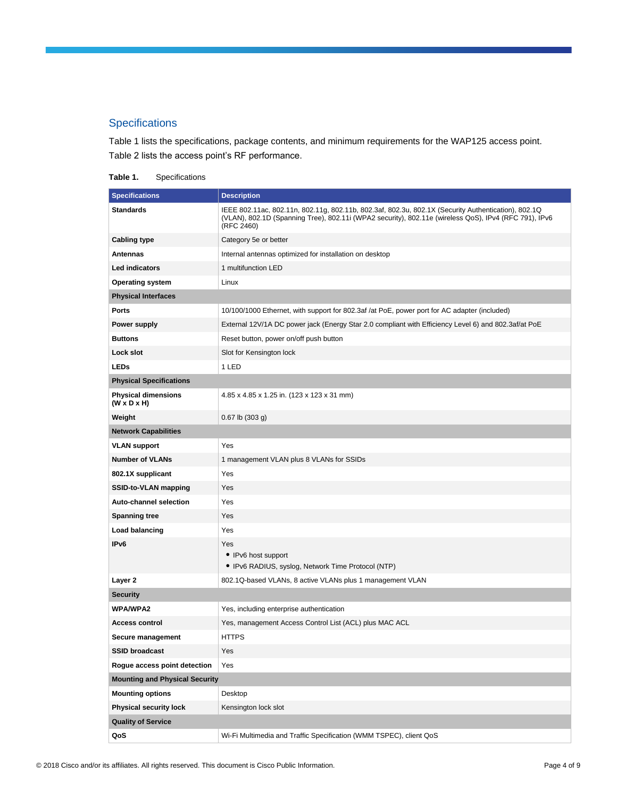## **Specifications**

Table 1 lists the specifications, package contents, and minimum requirements for the WAP125 access point. Table 2 lists the access point's RF performance.

## **Table 1.** Specifications

| <b>Specifications</b>                                 | <b>Description</b>                                                                                                                                                                                                         |
|-------------------------------------------------------|----------------------------------------------------------------------------------------------------------------------------------------------------------------------------------------------------------------------------|
| Standards                                             | IEEE 802.11ac, 802.11n, 802.11g, 802.11b, 802.3af, 802.3u, 802.1X (Security Authentication), 802.1Q<br>(VLAN), 802.1D (Spanning Tree), 802.11i (WPA2 security), 802.11e (wireless QoS), IPv4 (RFC 791), IPv6<br>(RFC 2460) |
| <b>Cabling type</b>                                   | Category 5e or better                                                                                                                                                                                                      |
| Antennas                                              | Internal antennas optimized for installation on desktop                                                                                                                                                                    |
| Led indicators                                        | 1 multifunction LED                                                                                                                                                                                                        |
| <b>Operating system</b>                               | Linux                                                                                                                                                                                                                      |
| <b>Physical Interfaces</b>                            |                                                                                                                                                                                                                            |
| <b>Ports</b>                                          | 10/100/1000 Ethernet, with support for 802.3af /at PoE, power port for AC adapter (included)                                                                                                                               |
| Power supply                                          | External 12V/1A DC power jack (Energy Star 2.0 compliant with Efficiency Level 6) and 802.3af/at PoE                                                                                                                       |
| <b>Buttons</b>                                        | Reset button, power on/off push button                                                                                                                                                                                     |
| Lock slot                                             | Slot for Kensington lock                                                                                                                                                                                                   |
| <b>LEDs</b>                                           | 1 LED                                                                                                                                                                                                                      |
| <b>Physical Specifications</b>                        |                                                                                                                                                                                                                            |
| <b>Physical dimensions</b><br>$(W \times D \times H)$ | 4.85 x 4.85 x 1.25 in. (123 x 123 x 31 mm)                                                                                                                                                                                 |
| Weight                                                | $0.67$ lb $(303 g)$                                                                                                                                                                                                        |
| <b>Network Capabilities</b>                           |                                                                                                                                                                                                                            |
| <b>VLAN support</b>                                   | Yes                                                                                                                                                                                                                        |
| <b>Number of VLANs</b>                                | 1 management VLAN plus 8 VLANs for SSIDs                                                                                                                                                                                   |
| 802.1X supplicant                                     | Yes                                                                                                                                                                                                                        |
| SSID-to-VLAN mapping                                  | Yes                                                                                                                                                                                                                        |
| Auto-channel selection                                | Yes                                                                                                                                                                                                                        |
| <b>Spanning tree</b>                                  | Yes                                                                                                                                                                                                                        |
| <b>Load balancing</b>                                 | Yes                                                                                                                                                                                                                        |
| IP <sub>v6</sub>                                      | Yes                                                                                                                                                                                                                        |
|                                                       | • IPv6 host support                                                                                                                                                                                                        |
|                                                       | • IPv6 RADIUS, syslog, Network Time Protocol (NTP)                                                                                                                                                                         |
| Layer 2                                               | 802.1Q-based VLANs, 8 active VLANs plus 1 management VLAN                                                                                                                                                                  |
| Security                                              |                                                                                                                                                                                                                            |
| <b>WPA/WPA2</b>                                       | Yes, including enterprise authentication                                                                                                                                                                                   |
| Access control                                        | Yes, management Access Control List (ACL) plus MAC ACL                                                                                                                                                                     |
| Secure management                                     | <b>HTTPS</b>                                                                                                                                                                                                               |
| <b>SSID broadcast</b>                                 | Yes                                                                                                                                                                                                                        |
| Rogue access point detection                          | Yes                                                                                                                                                                                                                        |
| <b>Mounting and Physical Security</b>                 |                                                                                                                                                                                                                            |
| <b>Mounting options</b>                               | Desktop                                                                                                                                                                                                                    |
| Physical security lock                                | Kensington lock slot                                                                                                                                                                                                       |
| <b>Quality of Service</b>                             |                                                                                                                                                                                                                            |
| QoS                                                   | Wi-Fi Multimedia and Traffic Specification (WMM TSPEC), client QoS                                                                                                                                                         |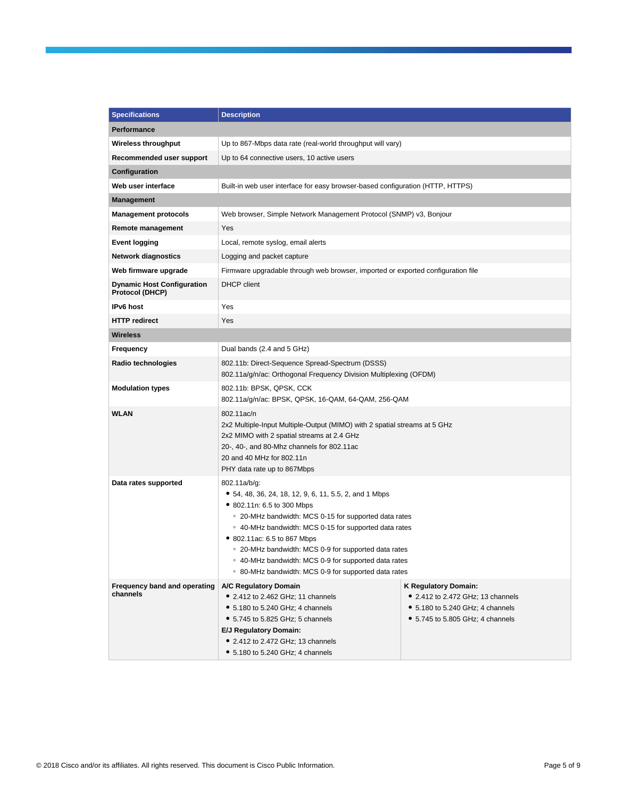| <b>Specifications</b>                                | <b>Description</b>                                                                                                                                                                                                                                                                                                                                                                                                            |                                                                                                                                                  |  |
|------------------------------------------------------|-------------------------------------------------------------------------------------------------------------------------------------------------------------------------------------------------------------------------------------------------------------------------------------------------------------------------------------------------------------------------------------------------------------------------------|--------------------------------------------------------------------------------------------------------------------------------------------------|--|
| <b>Performance</b>                                   |                                                                                                                                                                                                                                                                                                                                                                                                                               |                                                                                                                                                  |  |
| Wireless throughput                                  | Up to 867-Mbps data rate (real-world throughput will vary)                                                                                                                                                                                                                                                                                                                                                                    |                                                                                                                                                  |  |
| Recommended user support                             | Up to 64 connective users, 10 active users                                                                                                                                                                                                                                                                                                                                                                                    |                                                                                                                                                  |  |
| Configuration                                        |                                                                                                                                                                                                                                                                                                                                                                                                                               |                                                                                                                                                  |  |
| Web user interface                                   | Built-in web user interface for easy browser-based configuration (HTTP, HTTPS)                                                                                                                                                                                                                                                                                                                                                |                                                                                                                                                  |  |
| <b>Management</b>                                    |                                                                                                                                                                                                                                                                                                                                                                                                                               |                                                                                                                                                  |  |
| <b>Management protocols</b>                          | Web browser, Simple Network Management Protocol (SNMP) v3, Bonjour                                                                                                                                                                                                                                                                                                                                                            |                                                                                                                                                  |  |
| Remote management                                    | Yes                                                                                                                                                                                                                                                                                                                                                                                                                           |                                                                                                                                                  |  |
| <b>Event logging</b>                                 | Local, remote syslog, email alerts                                                                                                                                                                                                                                                                                                                                                                                            |                                                                                                                                                  |  |
| <b>Network diagnostics</b>                           | Logging and packet capture                                                                                                                                                                                                                                                                                                                                                                                                    |                                                                                                                                                  |  |
| Web firmware upgrade                                 | Firmware upgradable through web browser, imported or exported configuration file                                                                                                                                                                                                                                                                                                                                              |                                                                                                                                                  |  |
| <b>Dynamic Host Configuration</b><br>Protocol (DHCP) | DHCP client                                                                                                                                                                                                                                                                                                                                                                                                                   |                                                                                                                                                  |  |
| IPv6 host                                            | Yes                                                                                                                                                                                                                                                                                                                                                                                                                           |                                                                                                                                                  |  |
| <b>HTTP redirect</b>                                 | Yes                                                                                                                                                                                                                                                                                                                                                                                                                           |                                                                                                                                                  |  |
| <b>Wireless</b>                                      |                                                                                                                                                                                                                                                                                                                                                                                                                               |                                                                                                                                                  |  |
| Frequency                                            | Dual bands (2.4 and 5 GHz)                                                                                                                                                                                                                                                                                                                                                                                                    |                                                                                                                                                  |  |
| Radio technologies                                   | 802.11b: Direct-Sequence Spread-Spectrum (DSSS)<br>802.11a/g/n/ac: Orthogonal Frequency Division Multiplexing (OFDM)                                                                                                                                                                                                                                                                                                          |                                                                                                                                                  |  |
| <b>Modulation types</b>                              | 802.11b: BPSK, QPSK, CCK<br>802.11a/g/n/ac: BPSK, QPSK, 16-QAM, 64-QAM, 256-QAM                                                                                                                                                                                                                                                                                                                                               |                                                                                                                                                  |  |
| <b>WLAN</b>                                          | 802.11ac/n<br>2x2 Multiple-Input Multiple-Output (MIMO) with 2 spatial streams at 5 GHz<br>2x2 MIMO with 2 spatial streams at 2.4 GHz<br>20-, 40-, and 80-Mhz channels for 802.11ac<br>20 and 40 MHz for 802.11n<br>PHY data rate up to 867Mbps                                                                                                                                                                               |                                                                                                                                                  |  |
| Data rates supported                                 | 802.11a/b/g:<br>• 54, 48, 36, 24, 18, 12, 9, 6, 11, 5.5, 2, and 1 Mbps<br>• 802.11n: 6.5 to 300 Mbps<br>• 20-MHz bandwidth: MCS 0-15 for supported data rates<br>○ 40-MHz bandwidth: MCS 0-15 for supported data rates<br>• 802.11ac: 6.5 to 867 Mbps<br>• 20-MHz bandwidth: MCS 0-9 for supported data rates<br>○ 40-MHz bandwidth: MCS 0-9 for supported data rates<br>○ 80-MHz bandwidth: MCS 0-9 for supported data rates |                                                                                                                                                  |  |
| Frequency band and operating<br>channels             | A/C Regulatory Domain<br>• 2.412 to 2.462 GHz; 11 channels<br>• 5.180 to 5.240 GHz; 4 channels<br>• 5.745 to 5.825 GHz; 5 channels<br>E/J Regulatory Domain:<br>• 2.412 to 2.472 GHz; 13 channels<br>• 5.180 to 5.240 GHz; 4 channels                                                                                                                                                                                         | <b>K Regulatory Domain:</b><br>• 2.412 to 2.472 GHz; 13 channels<br>• 5.180 to 5.240 GHz; 4 channels<br>$\bullet$ 5.745 to 5.805 GHz; 4 channels |  |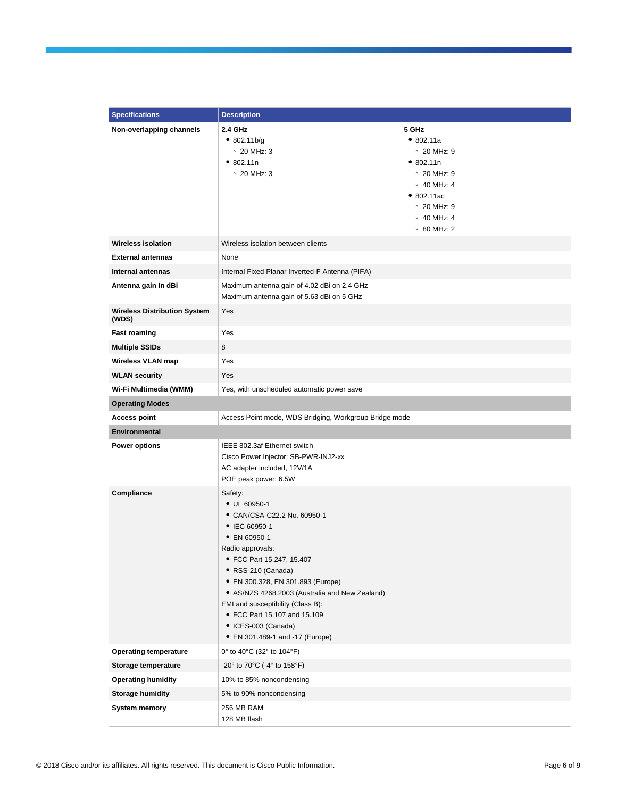| <b>Specifications</b>                        | <b>Description</b>                                                                                                                                                                                                                                                                                                                                                                           |                                                                                                                                                                                     |
|----------------------------------------------|----------------------------------------------------------------------------------------------------------------------------------------------------------------------------------------------------------------------------------------------------------------------------------------------------------------------------------------------------------------------------------------------|-------------------------------------------------------------------------------------------------------------------------------------------------------------------------------------|
| Non-overlapping channels                     | 2.4 GHz<br>• 802.11b/g<br>$\degree$ 20 MHz: 3<br>• 802.11n<br>$\degree$ 20 MHz: 3                                                                                                                                                                                                                                                                                                            | 5 GHz<br>• 802.11a<br>$\degree$ 20 MHz: 9<br>• 802.11n<br>$\degree$ 20 MHz: 9<br>$\circ$ 40 MHz: 4<br>• 802.11ac<br>$\degree$ 20 MHz: 9<br>$\circ$ 40 MHz: 4<br>$\degree$ 80 MHz: 2 |
| <b>Wireless isolation</b>                    | Wireless isolation between clients                                                                                                                                                                                                                                                                                                                                                           |                                                                                                                                                                                     |
| <b>External antennas</b>                     | None                                                                                                                                                                                                                                                                                                                                                                                         |                                                                                                                                                                                     |
| Internal antennas                            | Internal Fixed Planar Inverted-F Antenna (PIFA)                                                                                                                                                                                                                                                                                                                                              |                                                                                                                                                                                     |
| Antenna gain In dBi                          | Maximum antenna gain of 4.02 dBi on 2.4 GHz<br>Maximum antenna gain of 5.63 dBi on 5 GHz                                                                                                                                                                                                                                                                                                     |                                                                                                                                                                                     |
| <b>Wireless Distribution System</b><br>(WDS) | Yes                                                                                                                                                                                                                                                                                                                                                                                          |                                                                                                                                                                                     |
| <b>Fast roaming</b>                          | Yes                                                                                                                                                                                                                                                                                                                                                                                          |                                                                                                                                                                                     |
| <b>Multiple SSIDs</b>                        | 8                                                                                                                                                                                                                                                                                                                                                                                            |                                                                                                                                                                                     |
| Wireless VLAN map                            | Yes                                                                                                                                                                                                                                                                                                                                                                                          |                                                                                                                                                                                     |
| <b>WLAN security</b>                         | Yes                                                                                                                                                                                                                                                                                                                                                                                          |                                                                                                                                                                                     |
| Wi-Fi Multimedia (WMM)                       | Yes, with unscheduled automatic power save                                                                                                                                                                                                                                                                                                                                                   |                                                                                                                                                                                     |
| <b>Operating Modes</b>                       |                                                                                                                                                                                                                                                                                                                                                                                              |                                                                                                                                                                                     |
| <b>Access point</b>                          | Access Point mode, WDS Bridging, Workgroup Bridge mode                                                                                                                                                                                                                                                                                                                                       |                                                                                                                                                                                     |
| <b>Environmental</b>                         |                                                                                                                                                                                                                                                                                                                                                                                              |                                                                                                                                                                                     |
| <b>Power options</b>                         | IEEE 802.3af Ethernet switch<br>Cisco Power Injector: SB-PWR-INJ2-xx<br>AC adapter included, 12V/1A<br>POE peak power: 6.5W                                                                                                                                                                                                                                                                  |                                                                                                                                                                                     |
| Compliance                                   | Safety:<br>$\bullet$ UL 60950-1<br>• CAN/CSA-C22.2 No. 60950-1<br>• IEC 60950-1<br>• EN 60950-1<br>Radio approvals:<br>• FCC Part 15.247, 15.407<br>• RSS-210 (Canada)<br>• EN 300.328, EN 301.893 (Europe)<br>• AS/NZS 4268.2003 (Australia and New Zealand)<br>EMI and susceptibility (Class B):<br>• FCC Part 15.107 and 15.109<br>• ICES-003 (Canada)<br>• EN 301.489-1 and -17 (Europe) |                                                                                                                                                                                     |
| <b>Operating temperature</b>                 | 0° to 40°C (32° to 104°F)                                                                                                                                                                                                                                                                                                                                                                    |                                                                                                                                                                                     |
| Storage temperature                          | -20° to 70°C (-4° to 158°F)                                                                                                                                                                                                                                                                                                                                                                  |                                                                                                                                                                                     |
| <b>Operating humidity</b>                    | 10% to 85% noncondensing                                                                                                                                                                                                                                                                                                                                                                     |                                                                                                                                                                                     |
| <b>Storage humidity</b>                      | 5% to 90% noncondensing                                                                                                                                                                                                                                                                                                                                                                      |                                                                                                                                                                                     |
| <b>System memory</b>                         | 256 MB RAM<br>128 MB flash                                                                                                                                                                                                                                                                                                                                                                   |                                                                                                                                                                                     |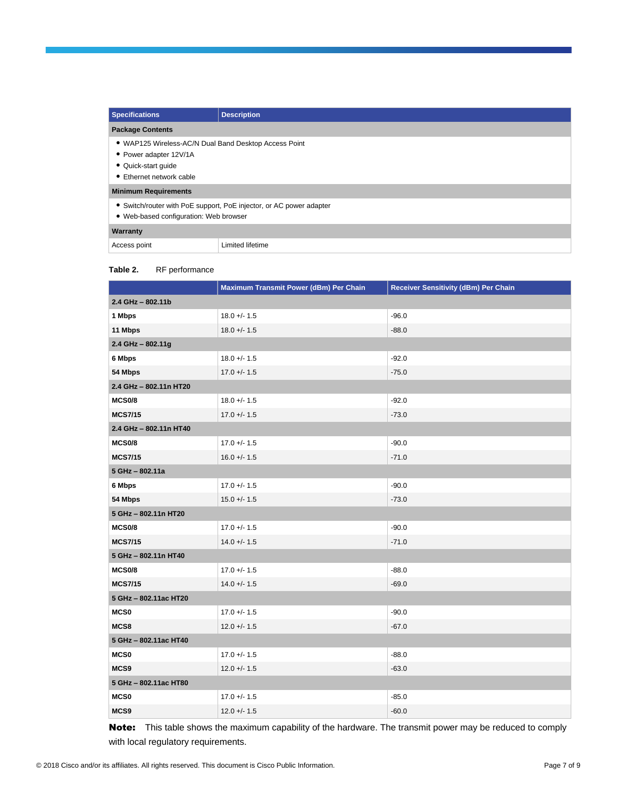| <b>Specifications</b>                                                                                                              | <b>Description</b>                                                  |
|------------------------------------------------------------------------------------------------------------------------------------|---------------------------------------------------------------------|
| <b>Package Contents</b>                                                                                                            |                                                                     |
| • WAP125 Wireless-AC/N Dual Band Desktop Access Point<br>• Power adapter 12V/1A<br>• Quick-start quide<br>• Ethernet network cable |                                                                     |
| <b>Minimum Requirements</b>                                                                                                        |                                                                     |
| • Web-based configuration: Web browser                                                                                             | • Switch/router with PoE support, PoE injector, or AC power adapter |
| Warranty                                                                                                                           |                                                                     |
| Access point                                                                                                                       | Limited lifetime                                                    |

#### **Table 2.** RF performance

|                        | Maximum Transmit Power (dBm) Per Chain | Receiver Sensitivity (dBm) Per Chain |
|------------------------|----------------------------------------|--------------------------------------|
| 2.4 GHz - 802.11b      |                                        |                                      |
| 1 Mbps                 | $18.0 +/- 1.5$                         | $-96.0$                              |
| 11 Mbps                | $18.0 +/- 1.5$                         | $-88.0$                              |
| 2.4 GHz - 802.11g      |                                        |                                      |
| 6 Mbps                 | $18.0 +/- 1.5$                         | $-92.0$                              |
| 54 Mbps                | $17.0 + - 1.5$                         | $-75.0$                              |
| 2.4 GHz - 802.11n HT20 |                                        |                                      |
| <b>MCS0/8</b>          | $18.0 +/- 1.5$                         | $-92.0$                              |
| <b>MCS7/15</b>         | $17.0 +/- 1.5$                         | $-73.0$                              |
| 2.4 GHz - 802.11n HT40 |                                        |                                      |
| <b>MCS0/8</b>          | $17.0 + - 1.5$                         | $-90.0$                              |
| <b>MCS7/15</b>         | $16.0 + - 1.5$                         | $-71.0$                              |
| 5 GHz - 802.11a        |                                        |                                      |
| 6 Mbps                 | $17.0 +/- 1.5$                         | $-90.0$                              |
| 54 Mbps                | $15.0 +/- 1.5$                         | $-73.0$                              |
| 5 GHz - 802.11n HT20   |                                        |                                      |
| <b>MCS0/8</b>          | $17.0 + - 1.5$                         | $-90.0$                              |
| <b>MCS7/15</b>         | $14.0 + - 1.5$                         | $-71.0$                              |
| 5 GHz - 802.11n HT40   |                                        |                                      |
| <b>MCS0/8</b>          | $17.0 + - 1.5$                         | $-88.0$                              |
| <b>MCS7/15</b>         | $14.0 + - 1.5$                         | $-69.0$                              |
| 5 GHz - 802.11ac HT20  |                                        |                                      |
| <b>MCS0</b>            | $17.0 +/- 1.5$                         | $-90.0$                              |
| MCS8                   | $12.0 +/- 1.5$                         | $-67.0$                              |
| 5 GHz - 802.11ac HT40  |                                        |                                      |
| <b>MCS0</b>            | $17.0 +/- 1.5$                         | $-88.0$                              |
| MCS9                   | $12.0 +/- 1.5$                         | $-63.0$                              |
| 5 GHz - 802.11ac HT80  |                                        |                                      |
| <b>MCS0</b>            | $17.0 +/- 1.5$                         | $-85.0$                              |
| MCS9                   | $12.0 +/- 1.5$                         | $-60.0$                              |

Note: This table shows the maximum capability of the hardware. The transmit power may be reduced to comply with local regulatory requirements.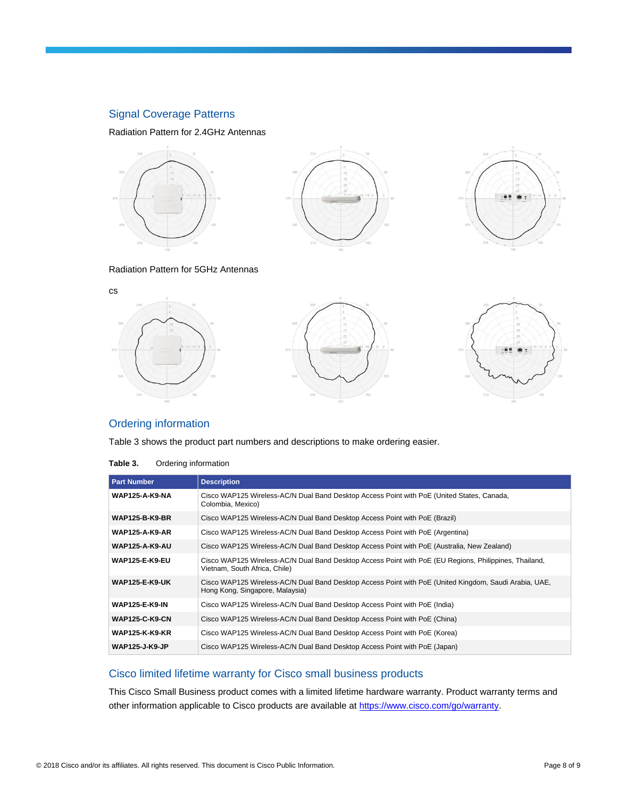## Signal Coverage Patterns

Radiation Pattern for 2.4GHz Antennas



#### Radiation Pattern for 5GHz Antennas



## Ordering information

Table 3 shows the product part numbers and descriptions to make ordering easier.

| Table 3. | Ordering information |
|----------|----------------------|
|----------|----------------------|

| <b>Part Number</b>    | <b>Description</b>                                                                                                                        |
|-----------------------|-------------------------------------------------------------------------------------------------------------------------------------------|
| <b>WAP125-A-K9-NA</b> | Cisco WAP125 Wireless-AC/N Dual Band Desktop Access Point with PoE (United States, Canada,<br>Colombia, Mexico)                           |
| <b>WAP125-B-K9-BR</b> | Cisco WAP125 Wireless-AC/N Dual Band Desktop Access Point with PoE (Brazil)                                                               |
| <b>WAP125-A-K9-AR</b> | Cisco WAP125 Wireless-AC/N Dual Band Desktop Access Point with PoE (Argentina)                                                            |
| <b>WAP125-A-K9-AU</b> | Cisco WAP125 Wireless-AC/N Dual Band Desktop Access Point with PoE (Australia, New Zealand)                                               |
| <b>WAP125-E-K9-EU</b> | Cisco WAP125 Wireless-AC/N Dual Band Desktop Access Point with PoE (EU Regions, Philippines, Thailand,<br>Vietnam, South Africa, Chile)   |
| <b>WAP125-E-K9-UK</b> | Cisco WAP125 Wireless-AC/N Dual Band Desktop Access Point with PoE (United Kingdom, Saudi Arabia, UAE,<br>Hong Kong, Singapore, Malaysia) |
| <b>WAP125-E-K9-IN</b> | Cisco WAP125 Wireless-AC/N Dual Band Desktop Access Point with PoE (India)                                                                |
| <b>WAP125-C-K9-CN</b> | Cisco WAP125 Wireless-AC/N Dual Band Desktop Access Point with PoE (China)                                                                |
| <b>WAP125-K-K9-KR</b> | Cisco WAP125 Wireless-AC/N Dual Band Desktop Access Point with PoE (Korea)                                                                |
| <b>WAP125-J-K9-JP</b> | Cisco WAP125 Wireless-AC/N Dual Band Desktop Access Point with PoE (Japan)                                                                |

## Cisco limited lifetime warranty for Cisco small business products

This Cisco Small Business product comes with a limited lifetime hardware warranty. Product warranty terms and other information applicable to Cisco products are available a[t https://www.cisco.com/go/warranty.](https://www.cisco.com/go/warranty)